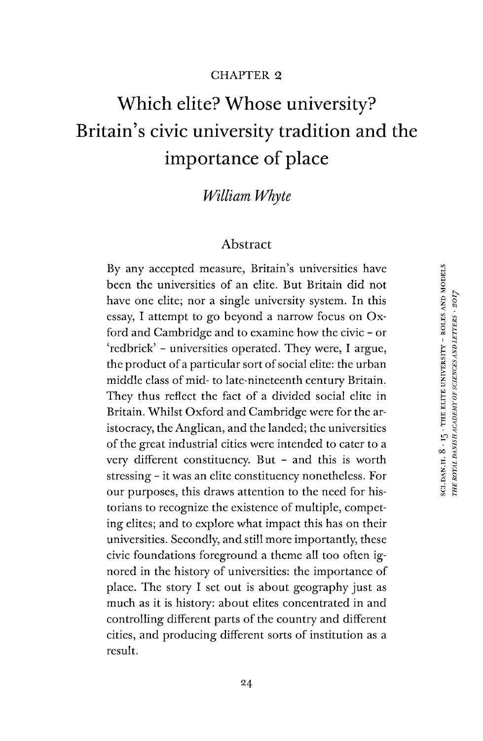### CHAPTER 2

# Which elite? Whose university? Britain's civic university tradition and the importance of place

# *William Whyte*

### Abstract

By any accepted measure, Britain's universities have been the universities of an elite. But Britain did not have one elite; nor a single university system. In this essay, I attempt to go beyond a narrow focus on Oxford and Cambridge and to examine how the civic - or 'redbrick' - universities operated. They were, I argue, the product of a particular sort of social elite: the urban middle class of mid- to late-nineteenth century Britain. They thus reflect the fact of a divided social elite in Britain. Whilst Oxford and Cambridge were for the aristocracy, the Anglican, and the landed; the universities of the great industrial cities were intended to cater to a very different constituency. But - and this is worth stressing - it was an elite constituency nonetheless. For our purposes, this draws attention to the need for historians to recognize the existence of multiple, competing elites; and to explore what impact this has on their universities. Secondly, and still more importantly, these civic foundations foreground a theme all too often ignored in the history of universities: the importance of place. The story I set out is about geography just as much as it is history: about elites concentrated in and controlling different parts of the country and different cities, and producing different sorts of institution as a result.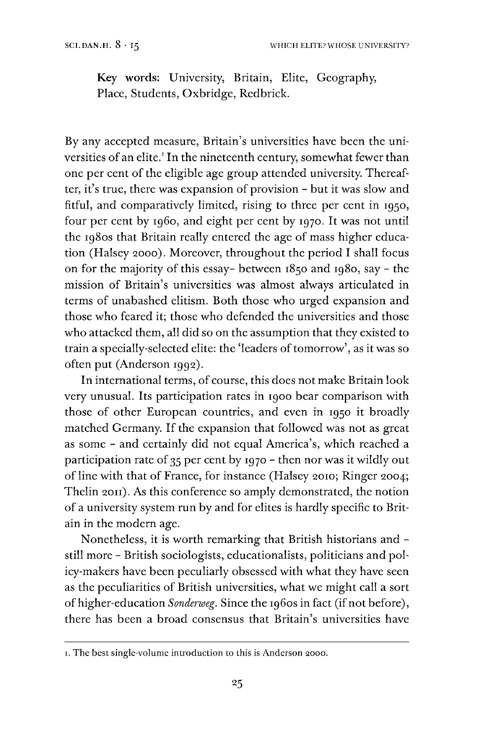Key words: University, Britain, Elite, Geography, Place, Students, Oxbridge, Redbrick.

By any accepted measure, Britain's universities have been the uni-versities of an elite.<sup>[1](#page-1-0)</sup> In the nineteenth century, somewhat fewer than one per cent of the eligible age group attended university. Thereafter, it'<sup>s</sup> true, there was expansion of provision - but it was slow and fitful, and comparatively limited, rising to three per cent in 1950, four per cent by i960, and eight per cent by 1970. It was not until the 1980s that Britain really entered the age of mass higher education (Halsey 2000). Moreover, throughout the period I shall focus on for the majority of this essay- between 1850 and 1980, say - the mission of Britain's universities was almost always articulated in terms of unabashed elitism. Both those who urged expansion and those who feared it; those who defended the universities and those who attacked them, all did so on the assumption that they existed to train a specially-selected elite: the 'leaders of tomorrow', as it was so often put (Anderson 1992).

In international terms, of course, this does not make Britain look very unusual. Its participation rates in 1900 bear comparison with those of other European countries, and even in 1950 it broadly matched Germany. If the expansion that followed was not as great as some - and certainly did not equal America's, which reached a participation rate of 35 per cent by 1970 - then nor was it wildly out of line with that of France, for instance (Halsey 2010; Ringer 2004; Thelin 2011). As this conference so amply demonstrated, the notion of a university system run by and for elites is hardly specific to Britain in the modern age.

Nonetheless, it is worth remarking that British historians and still more - British sociologists, educationalists, politicians and policy-makers have been peculiarly obsessed with what they have seen as the peculiarities of British universities, what we might call a sort ofhigher-education *Sonderweg.* Since the 1960s in fact (ifnot before), there has been a broad consensus that Britain's universities have

<span id="page-1-0"></span>i.The best single-volume introduction to this is Anderson 2000.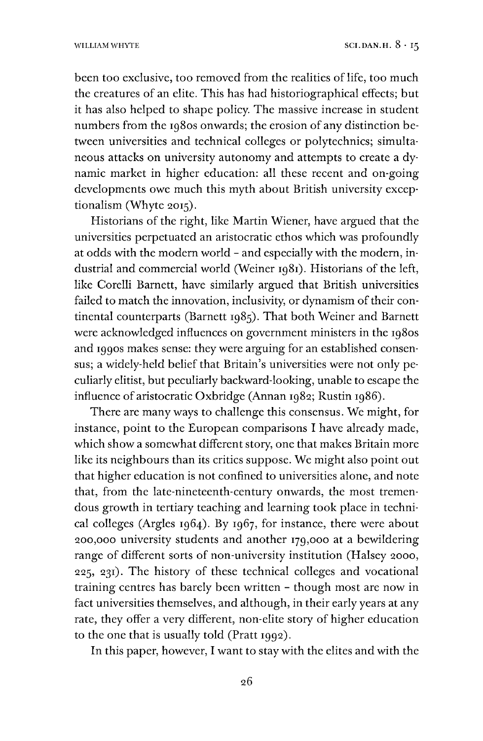been too exclusive, too removed from the realities of life, too much the creatures of an elite. This has had historiographical effects; but it has also helped to shape policy. The massive increase in student numbers from the 1980s onwards; the erosion of any distinction between universities and technical colleges or polytechnics; simultaneous attacks on university autonomy and attempts to create a dynamic market in higher education: all these recent and on-going developments owe much this myth about British university exceptionalism (Whyte 2015).

Historians of the right, like Martin Wiener, have argued that the universities perpetuated an aristocratic ethos which was profoundly at odds with the modern world - and especially with the modern, industrial and commercial world (Weiner 1981). Historians of the left, like Corelli Barnett, have similarly argued that British universities failed to match the innovation, inclusivity, or dynamism of their continental counterparts (Barnett 1985). That both Weiner and Barnett were acknowledged influences on government ministers in the 1980s and 1990s makes sense: they were arguing for an established consensus; a widely-held belief that Britain's universities were not only peculiarly elitist, but peculiarly backward-looking, unable to escape the influence of aristocratic Oxbridge (Annan 1982; Rustin 1986).

There are many ways to challenge this consensus. We might, for instance, point to the European comparisons I have already made, which show a somewhat different story, one that makes Britain more like its neighbours than its critics suppose. We might also point out that higher education is not confined to universities alone, and note that, from the late-nineteenth-century onwards, the most tremendous growth in tertiary teaching and learning took place in technical colleges (Argles 1964). By 1967, for instance, there were about 200,000 university students and another 179,000 at a bewildering range of different sorts of non-university institution (Halsey 2000, 225, 231). The history of these technical colleges and vocational training centres has barely been written - though most are now in fact universities themselves, and although, in their early years at any rate, they offer a very different, non-elite story of higher education to the one that is usually told (Pratt 1992).

In this paper, however, I want to stay with the elites and with the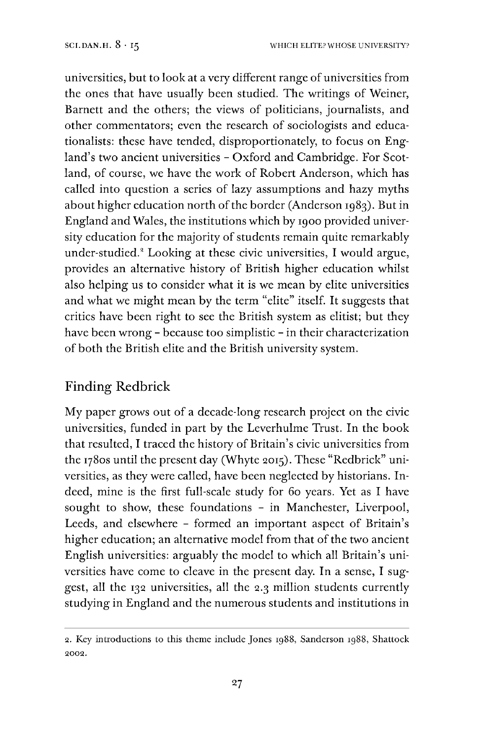universities, but to look at a very different range of universities from the ones that have usually been studied. The writings of Weiner, Barnett and the others; the views of politicians, journalists, and other commentators; even the research of sociologists and educationalists: these have tended, disproportionately, to focus on England'<sup>s</sup> two ancient universities - Oxford and Cambridge. For Scotland, of course, we have the work of Robert Anderson, which has called into question a series of lazy assumptions and hazy myths about higher education north of the border (Anderson 1983). But in England and Wales, the institutions which by 1900 provided university education for the majority of students remain quite remarkably under-studied.<sup>8</sup> Looking at these civic universities, I would argue, provides an alternative history of British higher education whilst also helping us to consider what it is we mean by elite universities and what we might mean by the term "elite" itself. It suggests that critics have been right to see the British system as elitist; but they have been wrong - because too simplistic - in their characterization of both the British elite and the British university system.

# Finding Redbrick

My paper grows out of a decade-long research project on the civic universities, funded in part by the Leverhulme Trust. In the book that resulted, I traced the history of Britain's civic universities from the 1780s until the present day (Whyte 2015). These "Redbrick" universities, as they were called, have been neglected by historians. Indeed, mine is the first full-scale study for 60 years. Yet as I have sought to show, these foundations - in Manchester, Liverpool, Leeds, and elsewhere - formed an important aspect of Britain'<sup>s</sup> higher education; an alternative model from that of the two ancient English universities: arguably the model to which all Britain's universities have come to cleave in the present day. In a sense, I suggest, all the 132 universities, all the 2.3 million students currently studying in England and the numerous students and institutions in2

<sup>2.</sup> Key introductions to this theme include Jones 1988, Sanderson 1988, Shattock 2002.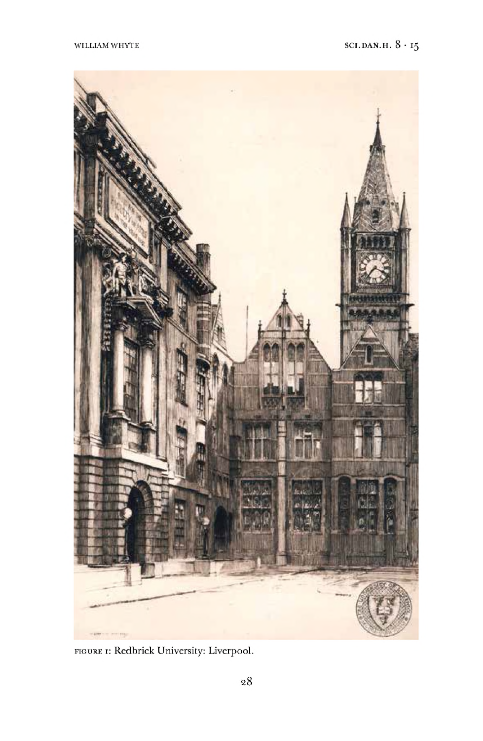

FIGURE 1: Redbrick University: Liverpool.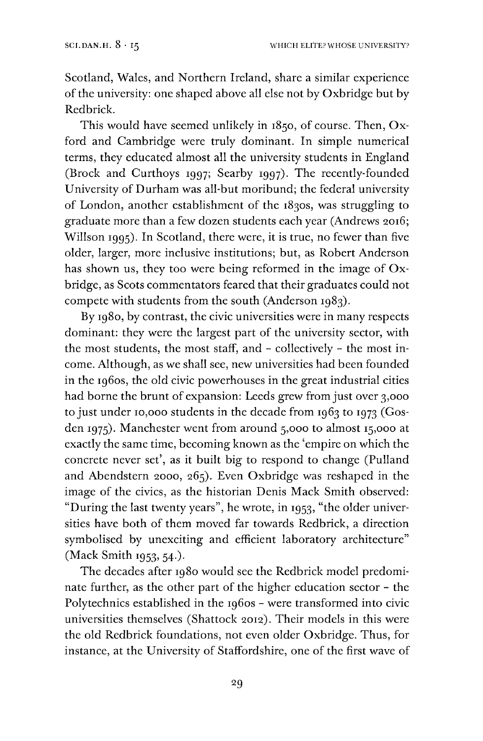Scotland, Wales, and Northern Ireland, share a similar experience of the university: one shaped above all else not by Oxbridge but by Redbrick.

This would have seemed unlikely in 1850, of course. Then, Oxford and Cambridge were truly dominant. In simple numerical terms, they educated almost all the university students in England (Brock and Curthoys 1997; Searby 1997). The recently-founded University of Durham was all-but moribund; the federal university of London, another establishment of the 1830s, was struggling to graduate more than a few dozen students each year (Andrews 2016; Willson 1995). In Scotland, there were, it is true, no fewer than five older, larger, more inclusive institutions; but, as Robert Anderson has shown us, they too were being reformed in the image of Oxbridge, as Scots commentators feared that their graduates could not compete with students from the south (Anderson 1983).

By 1980, by contrast, the civic universities were in many respects dominant: they were the largest part of the university sector, with the most students, the most staff, and - collectively - the most income. Although, as we shall see, new universities had been founded in the 1960s, the old civic powerhouses in the great industrial cities had borne the brunt of expansion: Leeds grew from just over 3,000 to just under 10,000 students in the decade from 1963 to 1973 (Gosden 1975). Manchester went from around 5,000 to almost 15,000 at exactly the same time, becoming known as the 'empire on which the concrete never set', as it built big to respond to change (Pulland and Abendstern 2000, 265). Even Oxbridge was reshaped in the image of the civics, as the historian Denis Mack Smith observed: "During the last twenty years", he wrote, in 1953, "the older universities have both of them moved far towards Redbrick, a direction symbolised by unexciting and efficient laboratory architecture" (Mack Smith 1953, 54.).

The decades after 1980 would see the Redbrick model predominate further, as the other part of the higher education sector - the Polytechnics established in the 1960s - were transformed into civic universities themselves (Shattock 2012). Their models in this were the old Redbrick foundations, not even older Oxbridge. Thus, for instance, at the University of Staffordshire, one of the first wave of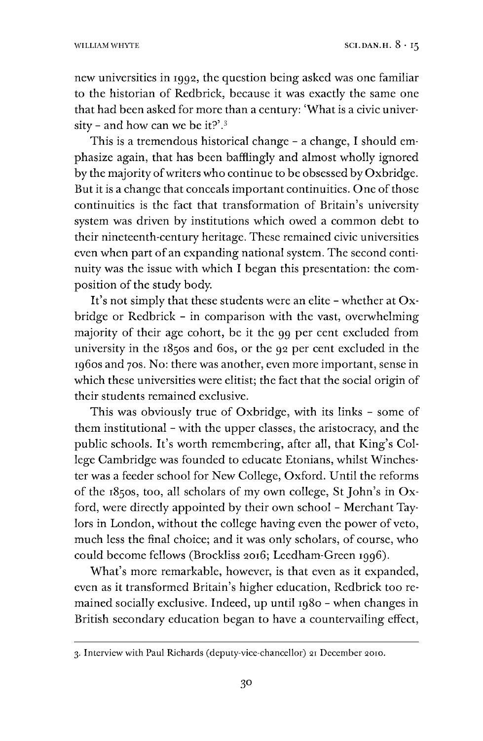new universities in 1992, the question being asked was one familiar to the historian of Redbrick, because it was exactly the same one that had been asked for more than a century: 'What is a civic univer-sity - and how can we be it?'.<sup>[3](#page-6-0)</sup>

This is a tremendous historical change - a change, I should emphasize again, that has been bafflingly and almost wholly ignored by the majority of writers who continue to be obsessed by Oxbridge. But it is a change that conceals important continuities. One of those continuities is the fact that transformation of Britain's university system was driven by institutions which owed a common debt to their nineteenth-century heritage. These remained civic universities even when part of an expanding national system. The second continuity was the issue with which I began this presentation: the composition of the study body.

It's not simply that these students were an elite - whether at  $Ox$ bridge or Redbrick - in comparison with the vast, overwhelming majority of their age cohort, be it the 99 per cent excluded from university in the 1850s and 60s, or the 92 per cent excluded in the 1960s and 70s. No: there was another, even more important, sense in which these universities were elitist; the fact that the social origin of their students remained exclusive.

This was obviously true of Oxbridge, with its links - some of them institutional - with the upper classes, the aristocracy, and the public schools. It'<sup>s</sup> worth remembering, after all, that King'<sup>s</sup> College Cambridge was founded to educate Etonians, whilst Winchester was a feeder school for New College, Oxford. Until the reforms of the 1850s, too, all scholars of my own college, St John'<sup>s</sup> in Oxford, were directly appointed by their own school - Merchant Taylors in London, without the college having even the power of veto, much less the final choice; and it was only scholars, of course, who could become fellows (Brockliss 2016; Leedham-Green 1996).

What's more remarkable, however, is that even as it expanded, even as it transformed Britain's higher education, Redbrick too remained socially exclusive. Indeed, up until 1980 - when changes in British secondary education began to have a countervailing effect,

<span id="page-6-0"></span><sup>3.</sup> Interview with Paul Richards (deputy-vice-chancellor) 21 December 2010.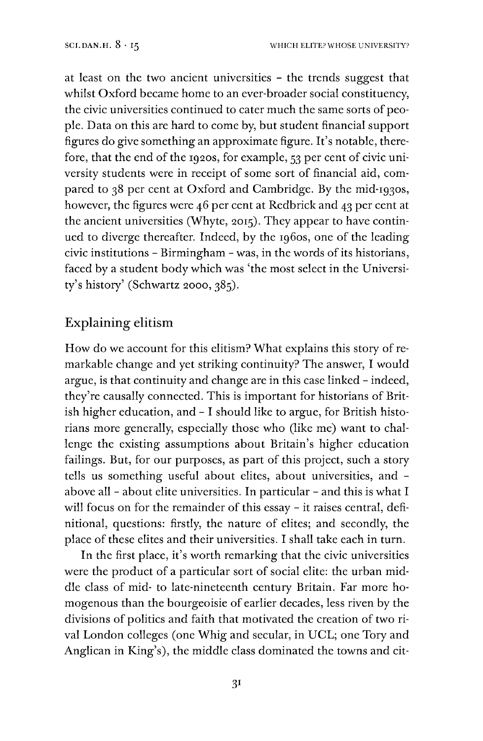at least on the two ancient universities - the trends suggest that whilst Oxford became home to an ever-broader social constituency, the civic universities continued to cater much the same sorts of people. Data on this are hard to come by, but student financial support figures do give something an approximate figure. It'<sup>s</sup> notable, therefore, that the end of the 1920s, for example, 53 per cent of civic university students were in receipt of some sort of financial aid, compared to 38 per cent at Oxford and Cambridge. By the mid-1930s, however, the figures were 46 per cent at Redbrick and 43 per cent at the ancient universities (Whyte, 2015). They appear to have continued to diverge thereafter. Indeed, by the 1960s, one of the leading civic institutions - Birmingham - was, in the words of its historians, faced by a student body which was 'the most select in the University's history' (Schwartz 2000, 385).

## Explaining elitism

How do we account for this elitism? What explains this story of remarkable change and yet striking continuity? The answer, I would argue, is that continuity and change are in this case linked - indeed, they're causally connected. This is important for historians of British higher education, and - I should like to argue, for British historians more generally, especially those who (like me) want to challenge the existing assumptions about Britain's higher education failings. But, for our purposes, as part of this project, such a story tells us something useful about elites, about universities, and above all - about elite universities. In particular - and this is what I will focus on for the remainder of this essay - it raises central, definitional, questions: firstly, the nature of elites; and secondly, the place of these elites and their universities. I shall take each in turn.

In the first place, it'<sup>s</sup> worth remarking that the civic universities were the product of a particular sort of social elite: the urban middle class of mid- to late-nineteenth century Britain. Far more homogenous than the bourgeoisie of earlier decades, less riven by the divisions of politics and faith that motivated the creation of two rival London colleges (one Whig and secular, in UCL; one Tory and Anglican in King's), the middle class dominated the towns and cit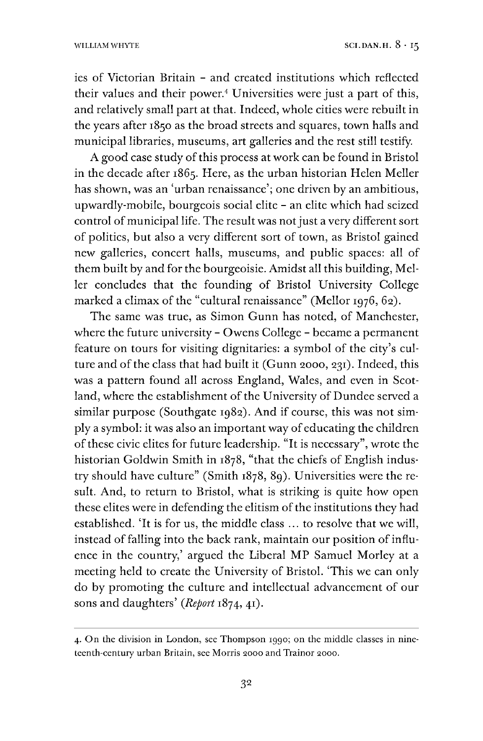ies of Victorian Britain - and created institutions which reflected their values and their power.[4](#page-8-0) Universities were just a part of this, and relatively small part at that. Indeed, whole cities were rebuilt in the years after 1850 as the broad streets and squares, town halls and municipal libraries, museums, art galleries and the rest still testify.

A good case study of this process at work can be found in Bristol in the decade after 1865. Here, as the urban historian Helen Meller has shown, was an 'urban renaissance'; one driven by an ambitious, upwardly-mobile, bourgeois social elite - an elite which had seized control of municipal life. The result was not just a very different sort of politics, but also a very different sort of town, as Bristol gained new galleries, concert halls, museums, and public spaces: all of them built by and for the bourgeoisie. Amidst all this building, Meller concludes that the founding of Bristol University College marked a climax of the "cultural renaissance" (Mellor 1976, 62).

The same was true, as Simon Gunn has noted, of Manchester, where the future university - Owens College - became a permanent feature on tours for visiting dignitaries: a symbol of the city's culture and of the class that had built it (Gunn 2000, 231). Indeed, this was a pattern found all across England, Wales, and even in Scotland, where the establishment of the University of Dundee served a similar purpose (Southgate 1982). And if course, this was not simply a symbol: it was also an important way of educating the children of these civic elites for future leadership. "It is necessary", wrote the historian Goldwin Smith in 1878, "that the chiefs of English industry should have culture" (Smith 1878, 89). Universities were the result. And, to return to Bristol, what is striking is quite how open these elites were in defending the elitism of the institutions they had established. 'It is for us, the middle class ... to resolve that we will, instead of falling into the back rank, maintain our position of influence in the country,' argued the Liberal MP Samuel Morley at a meeting held to create the University of Bristol. 'This we can only do by promoting the culture and intellectual advancement of our sons and daughters' *(Report* 1874, 41).

<span id="page-8-0"></span><sup>4.</sup> On the division in London, see Thompson 1990; on the middle classes in nineteenth-century urban Britain, see Morris 2000 and Trainor 2000.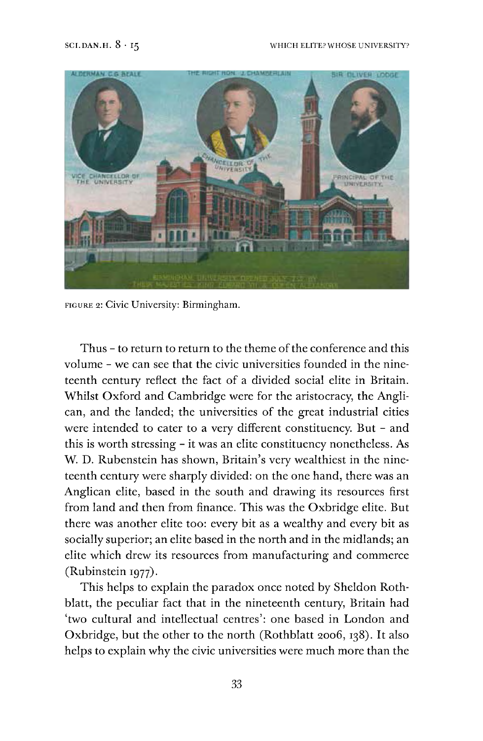

figure 2: Civic University: Birmingham.

Thus - to return to return to the theme of the conference and this volume - we can see that the civic universities founded in the nineteenth century reflect the fact of a divided social elite in Britain. Whilst Oxford and Cambridge were for the aristocracy, the Anglican, and the landed; the universities of the great industrial cities were intended to cater to a very different constituency. But - and this is worth stressing - it was an elite constituency nonetheless. As W. D. Rubenstein has shown, Britain's very wealthiest in the nineteenth century were sharply divided: on the one hand, there was an Anglican elite, based in the south and drawing its resources first from land and then from finance. This was the Oxbridge elite. But there was another elite too: every bit as a wealthy and every bit as socially superior; an elite based in the north and in the midlands; an elite which drew its resources from manufacturing and commerce (Rubinstein 1977).

This helps to explain the paradox once noted by Sheldon Rothblatt, the peculiar fact that in the nineteenth century, Britain had 'two cultural and intellectual centres': one based in London and Oxbridge, but the other to the north (Rothblatt 2006,138). It also helps to explain why the civic universities were much more than the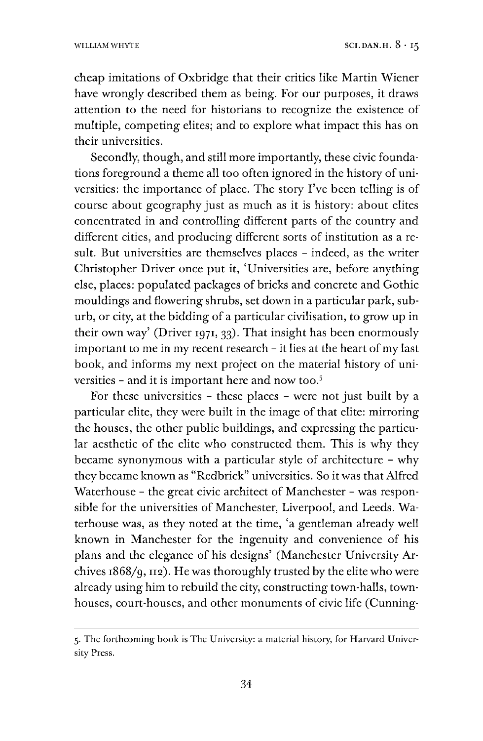cheap imitations of Oxbridge that their critics like Martin Wiener have wrongly described them as being. For our purposes, it draws attention to the need for historians to recognize the existence of multiple, competing elites; and to explore what impact this has on their universities.

Secondly, though, and still more importantly, these civic foundations foreground a theme all too often ignored in the history of universities: the importance of place. The story I've been telling is of course about geography just as much as it is history: about elites concentrated in and controlling different parts of the country and different cities, and producing different sorts of institution as a result. But universities are themselves places - indeed, as the writer Christopher Driver once put it, 'Universities are, before anything else, places: populated packages of bricks and concrete and Gothic mouldings and flowering shrubs, set down in a particular park, suburb, or city, at the bidding of a particular civilisation, to grow up in their own way' (Driver 1971, 33). That insight has been enormously important to me in my recent research - it lies at the heart of my last book, and informs my next project on the material history of uni-versities - and it is important here and now too.<sup>[5](#page-10-0)</sup>

For these universities - these places - were not just built by a particular elite, they were built in the image of that elite: mirroring the houses, the other public buildings, and expressing the particular aesthetic of the elite who constructed them. This is why they became synonymous with a particular style of architecture - why they became known as "Redbrick" universities. So it was that Alfred Waterhouse - the great civic architect of Manchester - was responsible for the universities of Manchester, Liverpool, and Leeds. Waterhouse was, as they noted at the time, 'a gentleman already well known in Manchester for the ingenuity and convenience of his plans and the elegance of his designs' (Manchester University Archives  $1868/q$ ,  $112$ ). He was thoroughly trusted by the elite who were already using him to rebuild the city, constructing town-halls, townhouses, court-houses, and other monuments of civic life (Cunning-

<span id="page-10-0"></span><sup>5.</sup> The forthcoming book is The University: a material history, for Harvard University Press.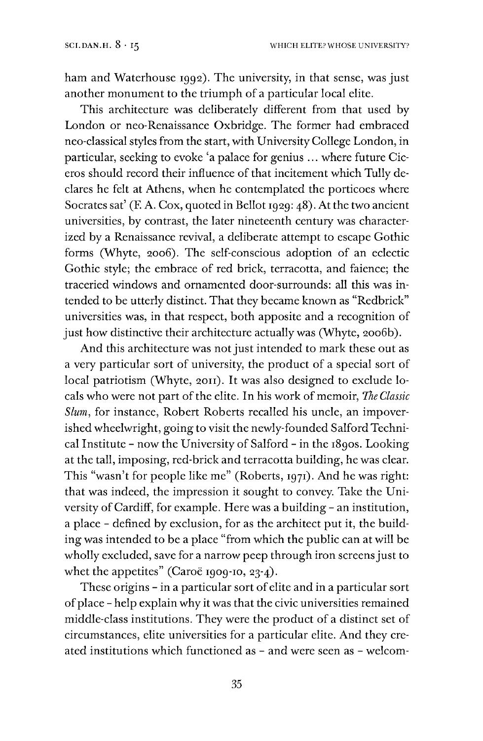ham and Waterhouse 1992). The university, in that sense, was just another monument to the triumph of a particular local elite.

This architecture was deliberately different from that used by London or neo-Renaissance Oxbridge. The former had embraced neo-classical styles from the start, with UniversityCollege London, in particular, seeking to evoke 'a palace for genius ... where future Ciceros should record their influence of that incitement which Tully declares he felt at Athens, when he contemplated the porticoes where Socrates sat' (F. A. Cox, quoted in Bellot 1929: 48). At the two ancient universities, by contrast, the later nineteenth century was characterized by a Renaissance revival, a deliberate attempt to escape Gothic forms (Whyte, 2006). The self-conscious adoption of an eclectic Gothic style; the embrace of red brick, terracotta, and faience; the traceried windows and ornamented door-surrounds: all this was intended to be utterly distinct. That they became known as "Redbrick" universities was, in that respect, both apposite and a recognition of just how distinctive their architecture actually was (Whyte, 2006b).

And this architecture was not just intended to mark these out as a very particular sort of university, the product of a special sort of local patriotism (Whyte, 2011). It was also designed to exclude locals who were not part of the elite. In his work of memoir, *The Classic Slum,* for instance, Robert Roberts recalled his uncle, an impoverished wheelwright, going to visit the newly-founded Salford Technical Institute - now the University of Salford - in the 1890s. Looking at the tall, imposing, red-brick and terracotta building, he was clear. This "wasn't for people like me" (Roberts, 1971). And he was right: that was indeed, the impression it sought to convey. Take the University of Cardiff, for example. Here was a building - an institution, a place - defined by exclusion, for as the architect put it, the building was intended to be a place "from which the public can at will be wholly excluded, save for a narrow peep through iron screens just to whet the appetites" (Caroë 1909-10, 23-4).

These origins - in a particular sort of elite and in a particular sort of place - help explain why it was that the civic universities remained middle-class institutions. They were the product of a distinct set of circumstances, elite universities for a particular elite. And they created institutions which functioned as - and were seen as - welcom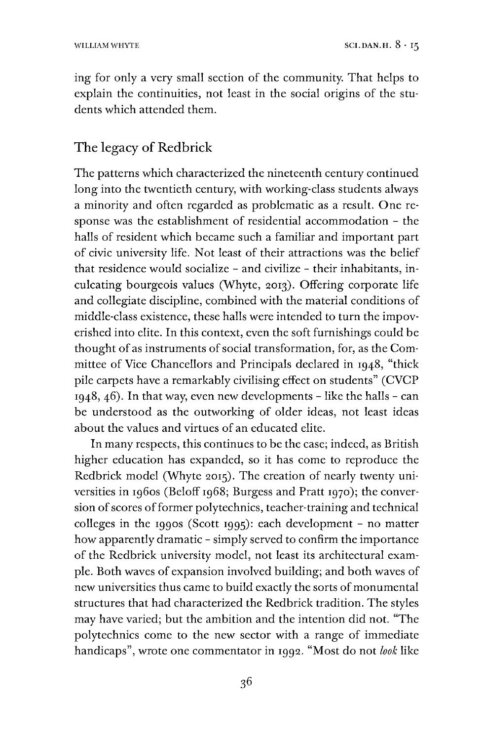ing for only a very small section of the community. That helps to explain the continuities, not least in the social origins of the students which attended them.

### The legacy of Redbrick

The patterns which characterized the nineteenth century continued long into the twentieth century, with working-class students always a minority and often regarded as problematic as a result. One response was the establishment of residential accommodation - the halls of resident which became such a familiar and important part of civic university life. Not least of their attractions was the belief that residence would socialize - and civilize - their inhabitants, inculcating bourgeois values (Whyte, 2013). Offering corporate life and collegiate discipline, combined with the material conditions of middle-class existence, these halls were intended to turn the impoverished into elite. In this context, even the soft furnishings could be thought of as instruments of social transformation, for, as the Committee of Vice Chancellors and Principals declared in 1948, "thick pile carpets have a remarkably civilising effect on students" (CVCP  $1948, 46$ ). In that way, even new developments - like the halls - can be understood as the outworking of older ideas, not least ideas about the values and virtues of an educated elite.

In many respects, this continues to be the case; indeed, as British higher education has expanded, so it has come to reproduce the Redbrick model (Whyte 2015). The creation of nearly twenty universities in 1960s (Beloff 1968; Burgess and Pratt 1970); the conversion of scores of former polytechnics, teacher-training and technical colleges in the 1990s (Scott 1995): each development - no matter how apparently dramatic - simply served to confirm the importance of the Redbrick university model, not least its architectural example. Both waves of expansion involved building; and both waves of new universities thus came to build exactly the sorts of monumental structures that had characterized the Redbrick tradition. The styles may have varied; but the ambition and the intention did not. "The polytechnics come to the new sector with a range of immediate handicaps", wrote one commentator in 1992. "Most do not *look* like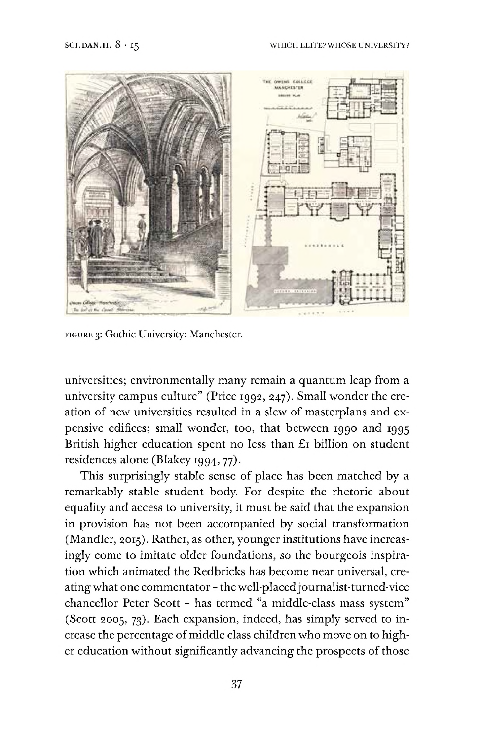

figure 3: Gothic University: Manchester.

universities; environmentally many remain a quantum leap from a university campus culture" (Price 1992, 247). Small wonder the creation of new universities resulted in a slew of masterplans and expensive edifices; small wonder, too, that between 1990 and 1995 British higher education spent no less than £1 billion on student residences alone (Blakey 1994, 77).

This surprisingly stable sense of place has been matched by a remarkably stable student body. For despite the rhetoric about equality and access to university, it must be said that the expansion in provision has not been accompanied by social transformation (Mandler, 2015). Rather, as other, younger institutions have increasingly come to imitate older foundations, so the bourgeois inspiration which animated the Redbricks has become near universal, creating what one commentator- the well-placedjournalist-turned-vice chancellor Peter Scott - has termed "a middle-class mass system" (Scott 2005, 73). Each expansion, indeed, has simply served to increase the percentage of middle class children who move on to higher education without significantly advancing the prospects of those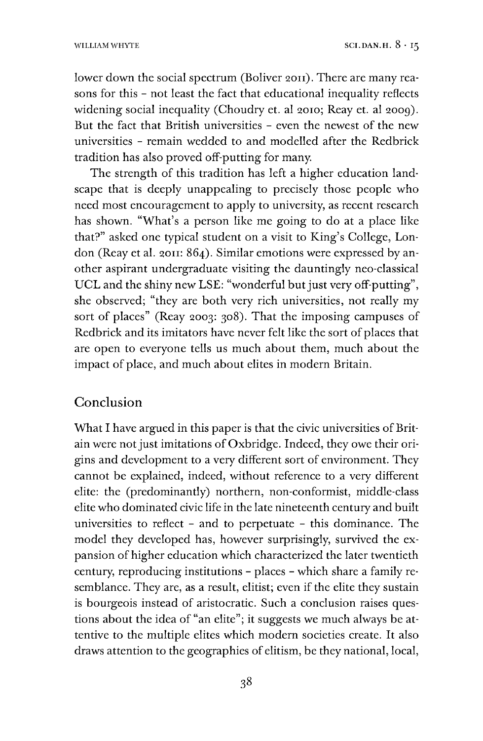lower down the social spectrum (Boliver 2011). There are many reasons for this - not least the fact that educational inequality reflects widening social inequality (Choudry et. al 2010; Reay et. al 2009). But the fact that British universities - even the newest of the new universities - remain wedded to and modelled after the Redbrick tradition has also proved off-putting for many.

The strength of this tradition has left a higher education landscape that is deeply unappealing to precisely those people who need most encouragement to apply to university, as recent research has shown. "What's a person like me going to do at a place like that?" asked one typical student on a visit to King's College, London (Reay et al. 2011: 864). Similar emotions were expressed by another aspirant undergraduate visiting the dauntingly neo-classical UCL and the shiny new LSE: "wonderful but just very off-putting", she observed; "they are both very rich universities, not really my sort of places" (Reay 2003: 308). That the imposing campuses of Redbrick and its imitators have never felt like the sort of places that are open to everyone tells us much about them, much about the impact of place, and much about elites in modern Britain.

### Conclusion

What I have argued in this paper is that the civic universities of Britain were not just imitations of Oxbridge. Indeed, they owe their origins and development to a very different sort of environment. They cannot be explained, indeed, without reference to a very different elite: the (predominantly) northern, non-conformist, middle-class elite who dominated civic life in the late nineteenth century and built universities to reflect - and to perpetuate - this dominance. The model they developed has, however surprisingly, survived the expansion of higher education which characterized the later twentieth century, reproducing institutions - places - which share a family resemblance. They are, as a result, elitist; even if the elite they sustain is bourgeois instead of aristocratic. Such a conclusion raises questions about the idea of "an elite"; it suggests we much always be attentive to the multiple elites which modern societies create. It also draws attention to the geographies of elitism, be they national, local,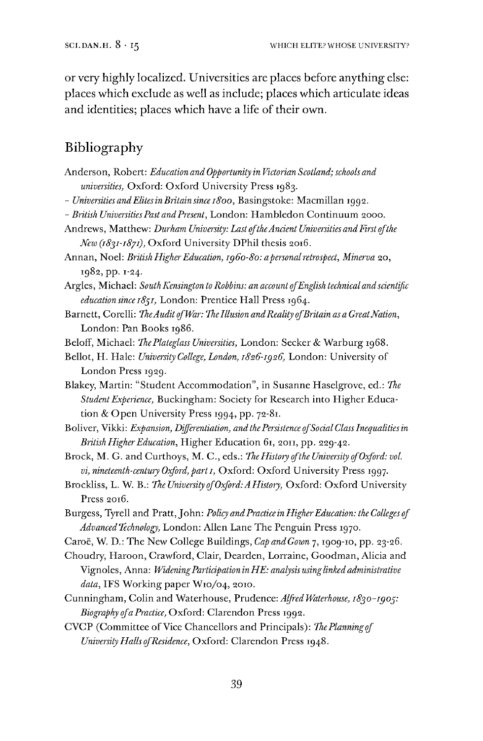or very highly localized. Universities are places before anything else: places which exclude as well as include; places which articulate ideas and identities; places which have a life of their own.

# Bibliography

- Anderson, Robert: *Education and Opportunity in Victorian Scotland; schools and universities,* Oxford: Oxford University Press 1983.
- *- UniversitiesandElitesinBritainsincei8oo,* Basingstoke: Macmillan 1992.
- *- British UniversitiesPast andPresent,* London: Hambledon Continuum 2000.
- Andrews, Matthew: *Durham University: Last oftheAncient Universities andFirst ofthe New (rSyyr-rS/r),* Oxford University DPhil thesis 2016.
- Annan, Noel: *British HigherEducation, 1960-80: apersonalretrospect, Minerva* 20, 1982, pp. 1-24.
- Argles, Michael: *SouthKensington to Robbins: an account ofEnglish technical andscientific education since 1851,* London: Prentice Hall Press 1964.
- Barnett, Corelli: *TheAuditofWar: The Illusion andReality ofBritainas aGreatNation,* London: Pan Books 1986.
- Beloff, Michael: *ThePlateglass Universities,* London: Seeker & Warburg 1968.
- Beilot, H. Hale: *University College, London, 1826-1926,* London: University of London Press 1929.
- Blakey, Martin: "Student Accommodation", in Susanne Haselgrove, ed.: *The StudentExperience,* Buckingham: Society for Research into Higher Education & Open University Press 1994, pp. 72-81.
- Boliver, Vikki: *Expansion, Differentiation, and thePersistence ofSocialClassInequalitiesin British HigherEducation,* Higher Education 61, 2011, pp. 229-42.
- Brock, M. G. and Curthoys, M. C., eds.: *TheHistory ofthe University ofOxford: vol. vi, nineteenth-century Oxford, part 1,* Oxford: Oxford University Press 1997.
- Brockliss, L. W. B.: *The University ofOxford:A History,* Oxford: Oxford University Press 2016.
- Burgess, Tyrell and Pratt,John: *Policy andPractice in HigherEducation: the Colleges of Advanced Technology,* London: Allen Lane The Penguin Press 1970.
- Caroe, W. D.: The New College Buildings, *Cap andGown* 7,1909-10, pp. 23-26.
- Choudry, Haroon, Crawford, Clair, Dearden, Lorraine, Goodman, Alicia and Vignoles, Anna: *WideningParticipation inHE: analysis usinglinked administrative data,* IFS Working paper W10/04, 2010.
- Cunningham, Colin and Waterhouse, Prudence: *Alfred Waterhouse, 1890-1909: Biography ofa Practice,* Oxford: Clarendon Press 1992.
- CVCP (Committee of Vice Chancellors and Principals): The Planning of *University HallsofResidence,* Oxford: Clarendon Press 1948.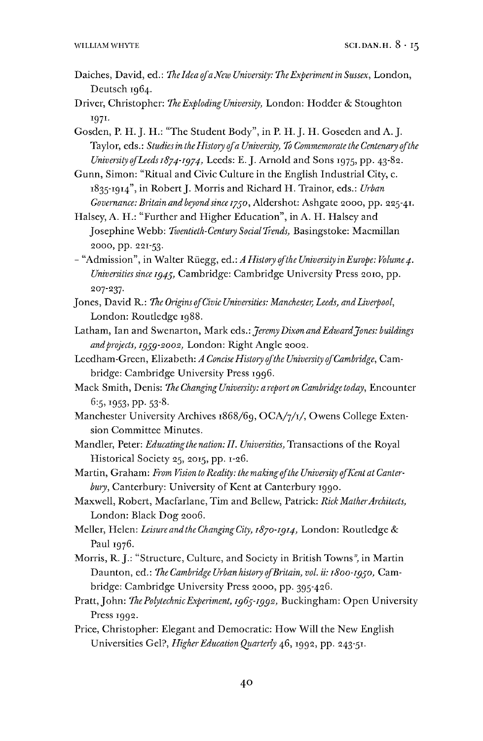- Daiches, David, ed.: *TheldeaofaXewUniversity.TheExperimentinSussex,* London, Deutsch 1964.
- Driver, Christopher: *TheExploding University,* London: Hodder & Stoughton I97I-

Gosden, P. H.J. H.: "The Student Body", in P. H.J. H. Goseden and A. J. Taylor, eds.: *Studiesin theHistory ofa University, To Commemorate the Centenary ofthe University ofLeeds 1874-1974,* Leeds: E. J. Arnold and Sons 1975, pp. 43-82.

Gunn, Simon: "Ritual and Civic Culture in the English Industrial City, c. 1835-1914", in RobertJ. Morris and Richard H. Trainor, eds.: *Urban Governance: Britain and beyond since 1790,* Aidershot: Ashgate 2000, pp. 225-41.

Halsey, A. H.: "Further and Higher Education", in A. H. Halsey and Josephine Webb: *Twentieth-Century SocialTrends,* Basingstoke: Macmillan 2000, pp. 221-53.

- "Admission", in Walter Rüegg, ed.: *A History ofthe University inEurope: Volume4. Universitiessince 1949,* Cambridge: Cambridge University Press 2010, pp. 207-237.

- Jones, David R.: *The Origins ofCivic Universities: Manchester, Leeds, andLiverpool,* London: Routledge 1988.
- Latham, Ian and Swenarton, Mark eds.: *JeremyDixon andEdwardJones: buildings andprojects, 1999-2002,* London: Right Angle 2002.
- Leedham-Green, Elizabeth: *A ConciseHistory ofthe University ofCambridge,* Cambridge: Cambridge University Press 1996.
- Mack Smith, Denis: *The Changing University: a report on Cambridge today,* Encounter 6:5, 1953, pp. 53-8.
- Manchester University Archives 1868/69, OCA/7/1/, Owens College Extension Committee Minutes.
- Mandler, Peter: *Educatingthe nation: II. Universities,* Transactions ofthe Royal Historical Society 25, 2015, pp. 1-26.

Martin, Graham: *From Vision to Reality: themakingofthe University ofKent at Canterbury,* Canterbury: University of Kent at Canterbury 1990.

Maxwell, Robert, Macfarlane, Tim and Bellew, Patrick: *Rick MatherArchitects,* London: Black Dog 2006.

Meller, Helen: *Leisure andthe ChangingCity, 1870-1914,* London: Routledge & Paul 1976.

Morris, R. J.: "Structure, Culture, and Society in British Towns", in Martin Daunton, ed.: *The Cambridge Urban history ofBritain, vol. ii: 1800-1990,* Cambridge: Cambridge University Press 2000, pp. 395-426.

Pratt,John: *ThePolytechnicExperiment, 1969-1992,* Buckingham: Open University Press 1992.

Price, Christopher: Elegant and Democratic: How Will the New English Universities Gel?, *HigherEducation Quarterly* 46,1992, pp. 243-51.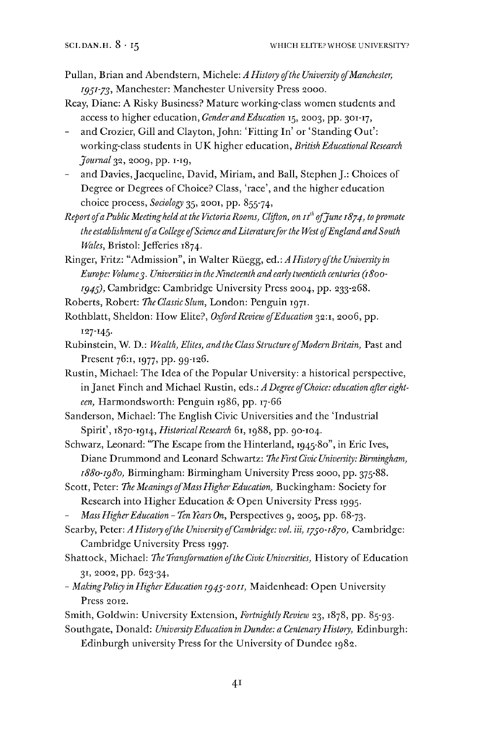- Pullan, Brian and Abendstern, Michele: *A History ofthe University ofManchester, I951'73^* Manchester: Manchester University Press 2000.
- Reay, Diane: A Risky Business? Mature working-class women students and access to higher education, *GenderandEducation* 15, 2003, pp. 301-17,
- and Crozier, Gill and Clayton, John: 'Fitting In' or 'Standing Out': working-class students in UK higher education, *British EducationalResearch Journal* 32, 2009, pp. 1-19,
- and Davies, Jacqueline, David, Miriam, and Ball, Stephen J.: Choices of Degree or Degrees of Choice? Class, 'race', and the higher education choice process, *Sociology* 35, 2001, pp. 855-74,

*Report ofaPublicMeetingheld at the VictoriaRooms, Clifton, on ifofJune 1874, topromote the establishment ofa College ofScience andLiteratureforthe West ofEngland andSouth Wales, Bristol: Jefferies 1874.* 

Ringer, Fritz: "Admission", in Walter Rüegg, ed.: *A History ofthe University in Europe: Volume3. Universitiesin theNineteenth and early twentieth centuries (1800- I945),* Cambridge: Cambridge University Press 2004, pp. 233-268.

- Roberts, Robert: *The Classic Slum,* London: Penguin 1971.
- Rothblatt, Sheldon: How Elite?, *OxfordReview ofEducation* 32:1, 2006, pp. 127-145-
- Rubinstein, W. D.: *Wealth, Elites, andtheClassStructure ofModernBritain,* Past and Present 76:1, 1977, pp. 99-126.
- Rustin, Michael: The Idea of the Popular University: a historical perspective, in Janet Finch and Michael Rustin, eds.: *A Degree ofChoice: education after eighteen,* Harmondsworth: Penguin 1986, pp. 17-66

Sanderson, Michael: The English Civic Universities and the 'Industrial Spirit', 1870-1914, *HistoricalResearch* 61,1988, pp. 90-104.

Schwarz, Leonard: "The Escape from the Hinterland, 1945-80", in Eric Ives, Diane Drummond and Leonard Schwartz: *TheFirstCivic University: Birmingham, 1880-1980,* Birmingham: Birmingham University Press 2000, pp. 375-88.

- Scott, Peter: *The Meanings ofMassHigherEducation,* Buckingham: Society for Research into Higher Education & Open University Press 1995.
- *MassHigherEducation -TenTears On,* Perspectives 9, 2005, pp. 68-73.

Searby, Peter: *A History ofthe University ofCambridge: vol. Hi, 1730-1870,* Cambridge: Cambridge University Press 1997.

- Shattock, Michael: *The Tranformation ofthe Civic Universities,* History ofEducation 31, 2002, pp. 623-34,
- *- MakingPolicy in HigherEducation 1943-2011,* Maidenhead: Open University Press 2012.
- Smith, Goldwin: University Extension, *Fortnightly Review* 23, 1878, pp. 85-93.

Southgate, Donald: *UniversityEducation in Dundee: a Centenary History,* Edinburgh: Edinburgh university Press for the University of Dundee 1982.